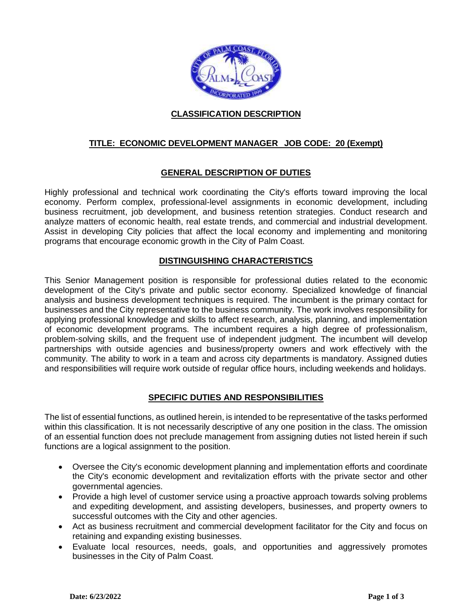

### **CLASSIFICATION DESCRIPTION**

## **TITLE: ECONOMIC DEVELOPMENT MANAGER JOB CODE: 20 (Exempt)**

### **GENERAL DESCRIPTION OF DUTIES**

Highly professional and technical work coordinating the City's efforts toward improving the local economy. Perform complex, professional-level assignments in economic development, including business recruitment, job development, and business retention strategies. Conduct research and analyze matters of economic health, real estate trends, and commercial and industrial development. Assist in developing City policies that affect the local economy and implementing and monitoring programs that encourage economic growth in the City of Palm Coast.

#### **DISTINGUISHING CHARACTERISTICS**

This Senior Management position is responsible for professional duties related to the economic development of the City's private and public sector economy. Specialized knowledge of financial analysis and business development techniques is required. The incumbent is the primary contact for businesses and the City representative to the business community. The work involves responsibility for applying professional knowledge and skills to affect research, analysis, planning, and implementation of economic development programs. The incumbent requires a high degree of professionalism, problem-solving skills, and the frequent use of independent judgment. The incumbent will develop partnerships with outside agencies and business/property owners and work effectively with the community. The ability to work in a team and across city departments is mandatory. Assigned duties and responsibilities will require work outside of regular office hours, including weekends and holidays.

#### **SPECIFIC DUTIES AND RESPONSIBILITIES**

The list of essential functions, as outlined herein, is intended to be representative of the tasks performed within this classification. It is not necessarily descriptive of any one position in the class. The omission of an essential function does not preclude management from assigning duties not listed herein if such functions are a logical assignment to the position.

- Oversee the City's economic development planning and implementation efforts and coordinate the City's economic development and revitalization efforts with the private sector and other governmental agencies.
- Provide a high level of customer service using a proactive approach towards solving problems and expediting development, and assisting developers, businesses, and property owners to successful outcomes with the City and other agencies.
- Act as business recruitment and commercial development facilitator for the City and focus on retaining and expanding existing businesses.
- Evaluate local resources, needs, goals, and opportunities and aggressively promotes businesses in the City of Palm Coast.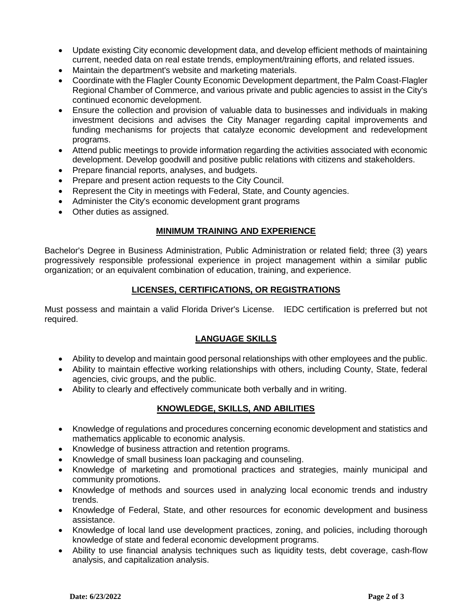- Update existing City economic development data, and develop efficient methods of maintaining current, needed data on real estate trends, employment/training efforts, and related issues.
- Maintain the department's website and marketing materials.
- Coordinate with the Flagler County Economic Development department, the Palm Coast-Flagler Regional Chamber of Commerce, and various private and public agencies to assist in the City's continued economic development.
- Ensure the collection and provision of valuable data to businesses and individuals in making investment decisions and advises the City Manager regarding capital improvements and funding mechanisms for projects that catalyze economic development and redevelopment programs.
- Attend public meetings to provide information regarding the activities associated with economic development. Develop goodwill and positive public relations with citizens and stakeholders.
- Prepare financial reports, analyses, and budgets.
- Prepare and present action requests to the City Council.
- Represent the City in meetings with Federal, State, and County agencies.
- Administer the City's economic development grant programs
- Other duties as assigned.

#### **MINIMUM TRAINING AND EXPERIENCE**

Bachelor's Degree in Business Administration, Public Administration or related field; three (3) years progressively responsible professional experience in project management within a similar public organization; or an equivalent combination of education, training, and experience.

### **LICENSES, CERTIFICATIONS, OR REGISTRATIONS**

Must possess and maintain a valid Florida Driver's License. IEDC certification is preferred but not required.

#### **LANGUAGE SKILLS**

- Ability to develop and maintain good personal relationships with other employees and the public.
- Ability to maintain effective working relationships with others, including County, State, federal agencies, civic groups, and the public.
- Ability to clearly and effectively communicate both verbally and in writing.

# **KNOWLEDGE, SKILLS, AND ABILITIES**

- Knowledge of regulations and procedures concerning economic development and statistics and mathematics applicable to economic analysis.
- Knowledge of business attraction and retention programs.
- Knowledge of small business loan packaging and counseling.
- Knowledge of marketing and promotional practices and strategies, mainly municipal and community promotions.
- Knowledge of methods and sources used in analyzing local economic trends and industry trends.
- Knowledge of Federal, State, and other resources for economic development and business assistance.
- Knowledge of local land use development practices, zoning, and policies, including thorough knowledge of state and federal economic development programs.
- Ability to use financial analysis techniques such as liquidity tests, debt coverage, cash-flow analysis, and capitalization analysis.